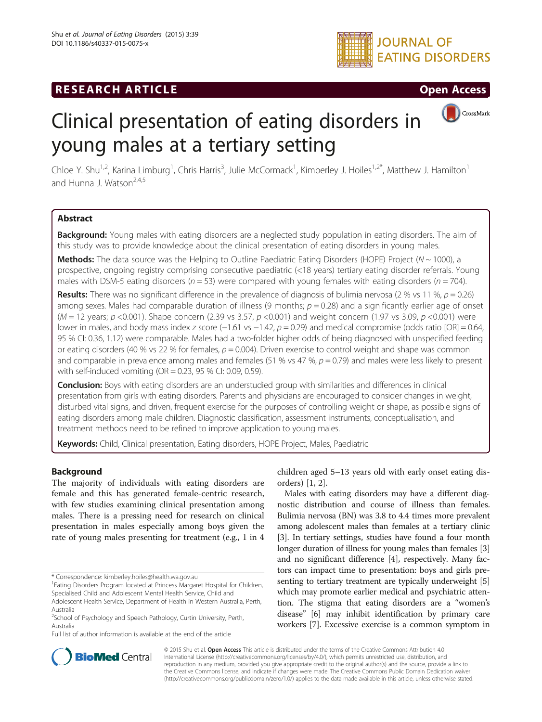# **RESEARCH ARTICLE Example 2014 CONSIDERING CONSIDERING CONSIDERING CONSIDERING CONSIDERING CONSIDERING CONSIDERING CONSIDERING CONSIDERING CONSIDERING CONSIDERING CONSIDERING CONSIDERING CONSIDERING CONSIDERING CONSIDE**



CrossMark

# Clinical presentation of eating disorders in young males at a tertiary setting



Chloe Y. Shu<sup>1,2</sup>, Karina Limburg<sup>1</sup>, Chris Harris<sup>3</sup>, Julie McCormack<sup>1</sup>, Kimberley J. Hoiles<sup>1,2\*</sup>, Matthew J. Hamilton<sup>1</sup> and Hunna J. Watson<sup>2,4,5</sup>

# Abstract

Background: Young males with eating disorders are a neglected study population in eating disorders. The aim of this study was to provide knowledge about the clinical presentation of eating disorders in young males.

**Methods:** The data source was the Helping to Outline Paediatric Eating Disorders (HOPE) Project ( $N \sim 1000$ ), a prospective, ongoing registry comprising consecutive paediatric (<18 years) tertiary eating disorder referrals. Young males with DSM-5 eating disorders ( $n = 53$ ) were compared with young females with eating disorders ( $n = 704$ ).

**Results:** There was no significant difference in the prevalence of diagnosis of bulimia nervosa (2 % vs 11 %,  $p = 0.26$ ) among sexes. Males had comparable duration of illness (9 months;  $p = 0.28$ ) and a significantly earlier age of onset  $(M = 12 \text{ years}; p < 0.001)$ . Shape concern (2.39 vs 3.57,  $p < 0.001$ ) and weight concern (1.97 vs 3.09,  $p < 0.001$ ) were lower in males, and body mass index z score (-1.61 vs -1.42,  $p = 0.29$ ) and medical compromise (odds ratio [OR] = 0.64, 95 % CI: 0.36, 1.12) were comparable. Males had a two-folder higher odds of being diagnosed with unspecified feeding or eating disorders (40 % vs 22 % for females,  $p = 0.004$ ). Driven exercise to control weight and shape was common and comparable in prevalence among males and females (51 % vs 47 %,  $p = 0.79$ ) and males were less likely to present with self-induced vomiting (OR = 0.23, 95 % CI: 0.09, 0.59).

**Conclusion:** Boys with eating disorders are an understudied group with similarities and differences in clinical presentation from girls with eating disorders. Parents and physicians are encouraged to consider changes in weight, disturbed vital signs, and driven, frequent exercise for the purposes of controlling weight or shape, as possible signs of eating disorders among male children. Diagnostic classification, assessment instruments, conceptualisation, and treatment methods need to be refined to improve application to young males.

Keywords: Child, Clinical presentation, Eating disorders, HOPE Project, Males, Paediatric

# Background

The majority of individuals with eating disorders are female and this has generated female-centric research, with few studies examining clinical presentation among males. There is a pressing need for research on clinical presentation in males especially among boys given the rate of young males presenting for treatment (e.g., 1 in 4

Full list of author information is available at the end of the article

children aged 5–13 years old with early onset eating disorders) [[1, 2\]](#page-5-0).

Males with eating disorders may have a different diagnostic distribution and course of illness than females. Bulimia nervosa (BN) was 3.8 to 4.4 times more prevalent among adolescent males than females at a tertiary clinic [[3\]](#page-5-0). In tertiary settings, studies have found a four month longer duration of illness for young males than females [[3](#page-5-0)] and no significant difference [[4\]](#page-5-0), respectively. Many factors can impact time to presentation: boys and girls presenting to tertiary treatment are typically underweight [[5](#page-5-0)] which may promote earlier medical and psychiatric attention. The stigma that eating disorders are a "women's disease" [[6\]](#page-5-0) may inhibit identification by primary care workers [\[7](#page-5-0)]. Excessive exercise is a common symptom in



© 2015 Shu et al. Open Access This article is distributed under the terms of the Creative Commons Attribution 4.0 International License [\(http://creativecommons.org/licenses/by/4.0/](http://creativecommons.org/licenses/by/4.0/)), which permits unrestricted use, distribution, and reproduction in any medium, provided you give appropriate credit to the original author(s) and the source, provide a link to the Creative Commons license, and indicate if changes were made. The Creative Commons Public Domain Dedication waiver [\(http://creativecommons.org/publicdomain/zero/1.0/](http://creativecommons.org/publicdomain/zero/1.0/)) applies to the data made available in this article, unless otherwise stated.

<sup>\*</sup> Correspondence: [kimberley.hoiles@health.wa.gov.au](mailto:kimberley.hoiles@health.wa.gov.au) <sup>1</sup>

<sup>&</sup>lt;sup>1</sup>Eating Disorders Program located at Princess Margaret Hospital for Children, Specialised Child and Adolescent Mental Health Service, Child and

Adolescent Health Service, Department of Health in Western Australia, Perth, Australia

<sup>&</sup>lt;sup>2</sup>School of Psychology and Speech Pathology, Curtin University, Perth, Australia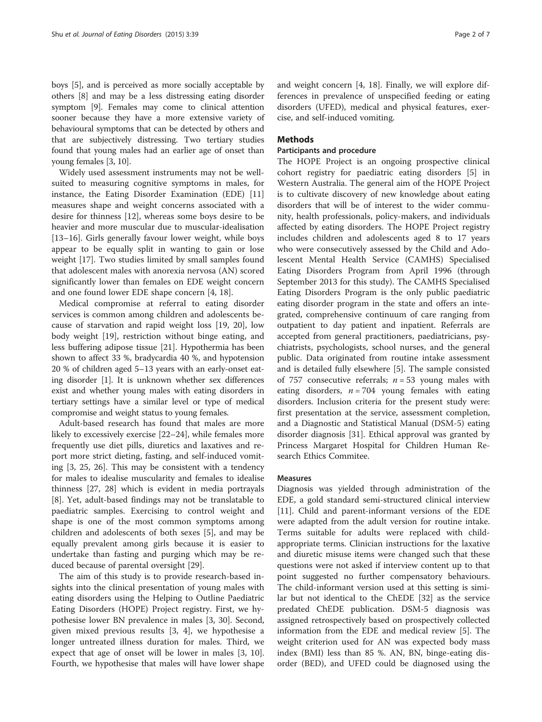boys [[5\]](#page-5-0), and is perceived as more socially acceptable by others [\[8\]](#page-5-0) and may be a less distressing eating disorder symptom [\[9\]](#page-5-0). Females may come to clinical attention sooner because they have a more extensive variety of behavioural symptoms that can be detected by others and that are subjectively distressing. Two tertiary studies found that young males had an earlier age of onset than young females [[3](#page-5-0), [10\]](#page-5-0).

Widely used assessment instruments may not be wellsuited to measuring cognitive symptoms in males, for instance, the Eating Disorder Examination (EDE) [[11](#page-5-0)] measures shape and weight concerns associated with a desire for thinness [[12\]](#page-5-0), whereas some boys desire to be heavier and more muscular due to muscular-idealisation [[13](#page-5-0)–[16](#page-5-0)]. Girls generally favour lower weight, while boys appear to be equally split in wanting to gain or lose weight [\[17\]](#page-5-0). Two studies limited by small samples found that adolescent males with anorexia nervosa (AN) scored significantly lower than females on EDE weight concern and one found lower EDE shape concern [\[4](#page-5-0), [18\]](#page-5-0).

Medical compromise at referral to eating disorder services is common among children and adolescents because of starvation and rapid weight loss [\[19, 20](#page-5-0)], low body weight [[19](#page-5-0)], restriction without binge eating, and less buffering adipose tissue [[21](#page-5-0)]. Hypothermia has been shown to affect 33 %, bradycardia 40 %, and hypotension 20 % of children aged 5–13 years with an early-onset eating disorder [\[1](#page-5-0)]. It is unknown whether sex differences exist and whether young males with eating disorders in tertiary settings have a similar level or type of medical compromise and weight status to young females.

Adult-based research has found that males are more likely to excessively exercise [\[22](#page-5-0)–[24\]](#page-5-0), while females more frequently use diet pills, diuretics and laxatives and report more strict dieting, fasting, and self-induced vomiting [\[3](#page-5-0), [25](#page-5-0), [26](#page-5-0)]. This may be consistent with a tendency for males to idealise muscularity and females to idealise thinness [\[27](#page-5-0), [28](#page-5-0)] which is evident in media portrayals [[8\]](#page-5-0). Yet, adult-based findings may not be translatable to paediatric samples. Exercising to control weight and shape is one of the most common symptoms among children and adolescents of both sexes [[5\]](#page-5-0), and may be equally prevalent among girls because it is easier to undertake than fasting and purging which may be reduced because of parental oversight [\[29](#page-5-0)].

The aim of this study is to provide research-based insights into the clinical presentation of young males with eating disorders using the Helping to Outline Paediatric Eating Disorders (HOPE) Project registry. First, we hypothesise lower BN prevalence in males [\[3](#page-5-0), [30\]](#page-5-0). Second, given mixed previous results [\[3](#page-5-0), [4](#page-5-0)], we hypothesise a longer untreated illness duration for males. Third, we expect that age of onset will be lower in males [\[3](#page-5-0), [10](#page-5-0)]. Fourth, we hypothesise that males will have lower shape

and weight concern [\[4](#page-5-0), [18\]](#page-5-0). Finally, we will explore differences in prevalence of unspecified feeding or eating disorders (UFED), medical and physical features, exercise, and self-induced vomiting.

# Methods

# Participants and procedure

The HOPE Project is an ongoing prospective clinical cohort registry for paediatric eating disorders [\[5](#page-5-0)] in Western Australia. The general aim of the HOPE Project is to cultivate discovery of new knowledge about eating disorders that will be of interest to the wider community, health professionals, policy-makers, and individuals affected by eating disorders. The HOPE Project registry includes children and adolescents aged 8 to 17 years who were consecutively assessed by the Child and Adolescent Mental Health Service (CAMHS) Specialised Eating Disorders Program from April 1996 (through September 2013 for this study). The CAMHS Specialised Eating Disorders Program is the only public paediatric eating disorder program in the state and offers an integrated, comprehensive continuum of care ranging from outpatient to day patient and inpatient. Referrals are accepted from general practitioners, paediatricians, psychiatrists, psychologists, school nurses, and the general public. Data originated from routine intake assessment and is detailed fully elsewhere [[5](#page-5-0)]. The sample consisted of 757 consecutive referrals;  $n = 53$  young males with eating disorders,  $n = 704$  young females with eating disorders. Inclusion criteria for the present study were: first presentation at the service, assessment completion, and a Diagnostic and Statistical Manual (DSM-5) eating disorder diagnosis [\[31](#page-5-0)]. Ethical approval was granted by Princess Margaret Hospital for Children Human Research Ethics Commitee.

#### Measures

Diagnosis was yielded through administration of the EDE, a gold standard semi-structured clinical interview [[11\]](#page-5-0). Child and parent-informant versions of the EDE were adapted from the adult version for routine intake. Terms suitable for adults were replaced with childappropriate terms. Clinician instructions for the laxative and diuretic misuse items were changed such that these questions were not asked if interview content up to that point suggested no further compensatory behaviours. The child-informant version used at this setting is similar but not identical to the ChEDE [\[32\]](#page-5-0) as the service predated ChEDE publication. DSM-5 diagnosis was assigned retrospectively based on prospectively collected information from the EDE and medical review [\[5](#page-5-0)]. The weight criterion used for AN was expected body mass index (BMI) less than 85 %. AN, BN, binge-eating disorder (BED), and UFED could be diagnosed using the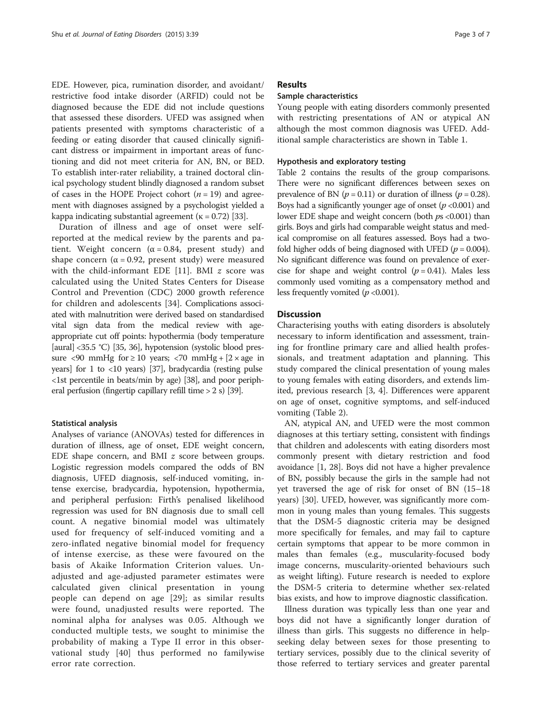EDE. However, pica, rumination disorder, and avoidant/ restrictive food intake disorder (ARFID) could not be diagnosed because the EDE did not include questions that assessed these disorders. UFED was assigned when patients presented with symptoms characteristic of a feeding or eating disorder that caused clinically significant distress or impairment in important areas of functioning and did not meet criteria for AN, BN, or BED. To establish inter-rater reliability, a trained doctoral clinical psychology student blindly diagnosed a random subset of cases in the HOPE Project cohort  $(n = 19)$  and agreement with diagnoses assigned by a psychologist yielded a kappa indicating substantial agreement ( $\kappa = 0.72$ ) [[33](#page-5-0)].

Duration of illness and age of onset were selfreported at the medical review by the parents and patient. Weight concern ( $\alpha = 0.84$ , present study) and shape concern ( $\alpha$  = 0.92, present study) were measured with the child-informant EDE [\[11](#page-5-0)]. BMI  $z$  score was calculated using the United States Centers for Disease Control and Prevention (CDC) 2000 growth reference for children and adolescents [\[34](#page-5-0)]. Complications associated with malnutrition were derived based on standardised vital sign data from the medical review with ageappropriate cut off points: hypothermia (body temperature [aural] <35.5 °C) [\[35](#page-5-0), [36](#page-5-0)], hypotension (systolic blood pressure <90 mmHg for  $\geq$  10 years; <70 mmHg +  $[2 \times$  age in years] for 1 to <10 years) [\[37\]](#page-5-0), bradycardia (resting pulse <1st percentile in beats/min by age) [\[38](#page-6-0)], and poor peripheral perfusion (fingertip capillary refill time > 2 s) [[39](#page-6-0)].

# Statistical analysis

Analyses of variance (ANOVAs) tested for differences in duration of illness, age of onset, EDE weight concern, EDE shape concern, and BMI z score between groups. Logistic regression models compared the odds of BN diagnosis, UFED diagnosis, self-induced vomiting, intense exercise, bradycardia, hypotension, hypothermia, and peripheral perfusion: Firth's penalised likelihood regression was used for BN diagnosis due to small cell count. A negative binomial model was ultimately used for frequency of self-induced vomiting and a zero-inflated negative binomial model for frequency of intense exercise, as these were favoured on the basis of Akaike Information Criterion values. Unadjusted and age-adjusted parameter estimates were calculated given clinical presentation in young people can depend on age [\[29](#page-5-0)]; as similar results were found, unadjusted results were reported. The nominal alpha for analyses was 0.05. Although we conducted multiple tests, we sought to minimise the probability of making a Type II error in this observational study [[40\]](#page-6-0) thus performed no familywise error rate correction.

# Results

## Sample characteristics

Young people with eating disorders commonly presented with restricting presentations of AN or atypical AN although the most common diagnosis was UFED. Additional sample characteristics are shown in Table [1.](#page-3-0)

## Hypothesis and exploratory testing

Table [2](#page-4-0) contains the results of the group comparisons. There were no significant differences between sexes on prevalence of BN ( $p = 0.11$ ) or duration of illness ( $p = 0.28$ ). Boys had a significantly younger age of onset ( $p < 0.001$ ) and lower EDE shape and weight concern (both  $p_s$  <0.001) than girls. Boys and girls had comparable weight status and medical compromise on all features assessed. Boys had a twofold higher odds of being diagnosed with UFED ( $p = 0.004$ ). No significant difference was found on prevalence of exercise for shape and weight control  $(p = 0.41)$ . Males less commonly used vomiting as a compensatory method and less frequently vomited ( $p < 0.001$ ).

# **Discussion**

Characterising youths with eating disorders is absolutely necessary to inform identification and assessment, training for frontline primary care and allied health professionals, and treatment adaptation and planning. This study compared the clinical presentation of young males to young females with eating disorders, and extends limited, previous research [\[3](#page-5-0), [4\]](#page-5-0). Differences were apparent on age of onset, cognitive symptoms, and self-induced vomiting (Table [2](#page-4-0)).

AN, atypical AN, and UFED were the most common diagnoses at this tertiary setting, consistent with findings that children and adolescents with eating disorders most commonly present with dietary restriction and food avoidance [\[1](#page-5-0), [28\]](#page-5-0). Boys did not have a higher prevalence of BN, possibly because the girls in the sample had not yet traversed the age of risk for onset of BN (15–18 years) [[30\]](#page-5-0). UFED, however, was significantly more common in young males than young females. This suggests that the DSM-5 diagnostic criteria may be designed more specifically for females, and may fail to capture certain symptoms that appear to be more common in males than females (e.g., muscularity-focused body image concerns, muscularity-oriented behaviours such as weight lifting). Future research is needed to explore the DSM-5 criteria to determine whether sex-related bias exists, and how to improve diagnostic classification.

Illness duration was typically less than one year and boys did not have a significantly longer duration of illness than girls. This suggests no difference in helpseeking delay between sexes for those presenting to tertiary services, possibly due to the clinical severity of those referred to tertiary services and greater parental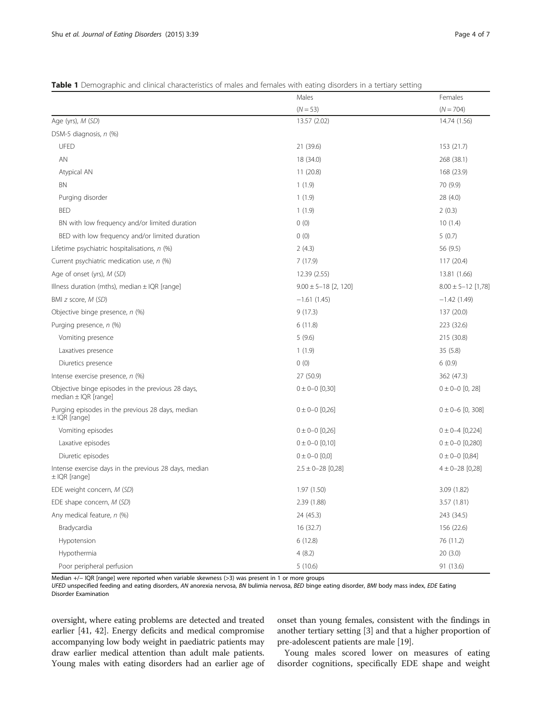<span id="page-3-0"></span>

|  | Table 1 Demographic and clinical characteristics of males and females with eating disorders in a tertiary setting |  |  |  |  |  |  |  |  |  |  |  |
|--|-------------------------------------------------------------------------------------------------------------------|--|--|--|--|--|--|--|--|--|--|--|
|--|-------------------------------------------------------------------------------------------------------------------|--|--|--|--|--|--|--|--|--|--|--|

|                                                                               | Males                      | Females                  |
|-------------------------------------------------------------------------------|----------------------------|--------------------------|
|                                                                               | $(N = 53)$                 | $(N = 704)$              |
| Age (yrs), M (SD)                                                             | 13.57 (2.02)               | 14.74 (1.56)             |
| DSM-5 diagnosis, n (%)                                                        |                            |                          |
| UFED                                                                          | 21 (39.6)                  | 153 (21.7)               |
| AN                                                                            | 18 (34.0)                  | 268 (38.1)               |
| Atypical AN                                                                   | 11(20.8)                   | 168 (23.9)               |
| ΒN                                                                            | 1(1.9)                     | 70 (9.9)                 |
| Purging disorder                                                              | 1(1.9)                     | 28 (4.0)                 |
| <b>BED</b>                                                                    | 1(1.9)                     | 2(0.3)                   |
| BN with low frequency and/or limited duration                                 | 0(0)                       | 10(1.4)                  |
| BED with low frequency and/or limited duration                                | 0(0)                       | 5(0.7)                   |
| Lifetime psychiatric hospitalisations, n (%)                                  | 2(4.3)                     | 56 (9.5)                 |
| Current psychiatric medication use, n (%)                                     | 7(17.9)                    | 117 (20.4)               |
| Age of onset (yrs), M (SD)                                                    | 12.39 (2.55)               | 13.81 (1.66)             |
| Illness duration (mths), median $\pm$ IQR [range]                             | $9.00 \pm 5 - 18$ [2, 120] | $8.00 \pm 5 - 12$ [1,78] |
| BMI z score, M (SD)                                                           | $-1.61(1.45)$              | $-1.42(1.49)$            |
| Objective binge presence, n (%)                                               | 9(17.3)                    | 137 (20.0)               |
| Purging presence, n (%)                                                       | 6(11.8)                    | 223 (32.6)               |
| Vomiting presence                                                             | 5(9.6)                     | 215 (30.8)               |
| Laxatives presence                                                            | 1(1.9)                     | 35(5.8)                  |
| Diuretics presence                                                            | 0(0)                       | 6(0.9)                   |
| Intense exercise presence, n (%)                                              | 27 (50.9)                  | 362 (47.3)               |
| Objective binge episodes in the previous 28 days,<br>median $\pm$ IQR [range] | $0 \pm 0 - 0$ [0,30]       | $0 \pm 0 - 0$ [0, 28]    |
| Purging episodes in the previous 28 days, median<br>$\pm$ IQR [range]         | $0 \pm 0 - 0$ [0,26]       | $0 \pm 0 - 6$ [0, 308]   |
| Vomiting episodes                                                             | $0 \pm 0 - 0$ [0,26]       | $0 \pm 0 - 4$ [0,224]    |
| Laxative episodes                                                             | $0 \pm 0 - 0$ [0,10]       | $0 \pm 0 - 0$ [0,280]    |
| Diuretic episodes                                                             | $0 \pm 0 - 0$ [0,0]        | $0 \pm 0 - 0$ [0,84]     |
| Intense exercise days in the previous 28 days, median<br>$\pm$ IQR [range]    | $2.5 \pm 0 - 28$ [0,28]    | $4 \pm 0 - 28$ [0,28]    |
| EDE weight concern, M (SD)                                                    | 1.97 (1.50)                | 3.09 (1.82)              |
| EDE shape concern, M (SD)                                                     | 2.39 (1.88)                | 3.57 (1.81)              |
| Any medical feature, n (%)                                                    | 24 (45.3)                  | 243 (34.5)               |
| Bradycardia                                                                   | 16 (32.7)                  | 156 (22.6)               |
| Hypotension                                                                   | 6(12.8)                    | 76 (11.2)                |
| Hypothermia                                                                   | 4(8.2)                     | 20(3.0)                  |
| Poor peripheral perfusion                                                     | 5(10.6)                    | 91 (13.6)                |

Median +/− IQR [range] were reported when variable skewness (>3) was present in 1 or more groups

UFED unspecified feeding and eating disorders, AN anorexia nervosa, BN bulimia nervosa, BED binge eating disorder, BMI body mass index, EDE Eating Disorder Examination

oversight, where eating problems are detected and treated earlier [[41](#page-6-0), [42](#page-6-0)]. Energy deficits and medical compromise accompanying low body weight in paediatric patients may draw earlier medical attention than adult male patients. Young males with eating disorders had an earlier age of onset than young females, consistent with the findings in another tertiary setting [\[3](#page-5-0)] and that a higher proportion of pre-adolescent patients are male [[19](#page-5-0)].

Young males scored lower on measures of eating disorder cognitions, specifically EDE shape and weight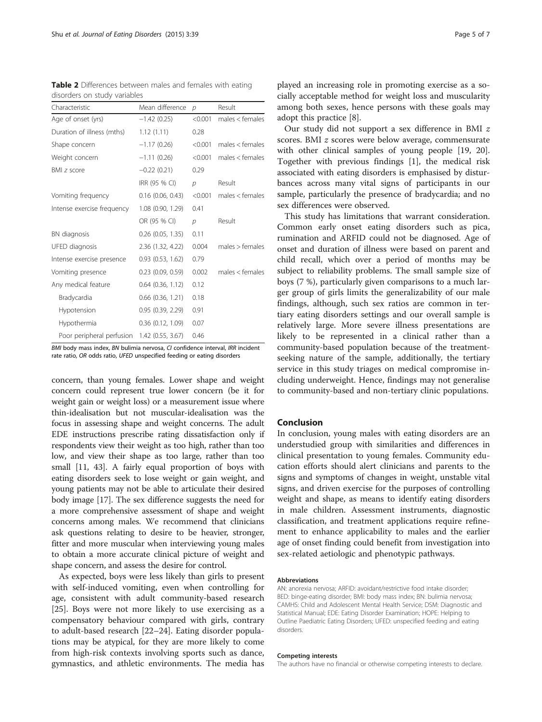| aboracis on staay vanabics |                       |                |                   |  |  |  |  |  |
|----------------------------|-----------------------|----------------|-------------------|--|--|--|--|--|
| Characteristic             | Mean difference       | $\mathcal{D}$  | Result            |  |  |  |  |  |
| Age of onset (yrs)         | $-1.42(0.25)$         | < 0.001        | $males <$ females |  |  |  |  |  |
| Duration of illness (mths) | 1.12(1.11)            | 0.28           |                   |  |  |  |  |  |
| Shape concern              | $-1.17(0.26)$         | < 0.001        | $males <$ females |  |  |  |  |  |
| Weight concern             | $-1.11(0.26)$         | < 0.001        | $males <$ females |  |  |  |  |  |
| BMI z score                | $-0.22(0.21)$         | 0.29           |                   |  |  |  |  |  |
|                            | IRR (95 % CI)         | $\overline{p}$ | Result            |  |  |  |  |  |
| Vomiting frequency         | 0.16(0.06, 0.43)      | < 0.001        | $males <$ females |  |  |  |  |  |
| Intense exercise frequency | 1.08 (0.90, 1.29)     | 0.41           |                   |  |  |  |  |  |
|                            | OR (95 % CI)          | р              | Result            |  |  |  |  |  |
| BN diagnosis               | $0.26$ (0.05, 1.35)   | 0.11           |                   |  |  |  |  |  |
| UFED diagnosis             | 2.36 (1.32, 4.22)     | 0.004          | $males$ > females |  |  |  |  |  |
| Intense exercise presence  | 0.93(0.53, 1.62)      | 0.79           |                   |  |  |  |  |  |
| Vomiting presence          | 0.23(0.09, 0.59)      | 0.002          | $males <$ females |  |  |  |  |  |
| Any medical feature        | $0.64$ (0.36, 1.12)   | 0.12           |                   |  |  |  |  |  |
| Bradycardia                | $0.66$ $(0.36, 1.21)$ | 0.18           |                   |  |  |  |  |  |
| Hypotension                | 0.95(0.39, 2.29)      | 0.91           |                   |  |  |  |  |  |
| Hypothermia                | 0.36 (0.12, 1.09)     | 0.07           |                   |  |  |  |  |  |
| Poor peripheral perfusion  | 1.42 (0.55, 3.67)     | 0.46           |                   |  |  |  |  |  |

<span id="page-4-0"></span>Table 2 Differences between males and females with eating disorders on study variables

BMI body mass index, BN bulimia nervosa, CI confidence interval, IRR incident rate ratio, OR odds ratio, UFED unspecified feeding or eating disorders

concern, than young females. Lower shape and weight concern could represent true lower concern (be it for weight gain or weight loss) or a measurement issue where thin-idealisation but not muscular-idealisation was the focus in assessing shape and weight concerns. The adult EDE instructions prescribe rating dissatisfaction only if respondents view their weight as too high, rather than too low, and view their shape as too large, rather than too small [\[11,](#page-5-0) [43\]](#page-6-0). A fairly equal proportion of boys with eating disorders seek to lose weight or gain weight, and young patients may not be able to articulate their desired body image [\[17](#page-5-0)]. The sex difference suggests the need for a more comprehensive assessment of shape and weight concerns among males. We recommend that clinicians ask questions relating to desire to be heavier, stronger, fitter and more muscular when interviewing young males to obtain a more accurate clinical picture of weight and shape concern, and assess the desire for control.

As expected, boys were less likely than girls to present with self-induced vomiting, even when controlling for age, consistent with adult community-based research [[25\]](#page-5-0). Boys were not more likely to use exercising as a compensatory behaviour compared with girls, contrary to adult-based research [[22](#page-5-0)–[24\]](#page-5-0). Eating disorder populations may be atypical, for they are more likely to come from high-risk contexts involving sports such as dance, gymnastics, and athletic environments. The media has

played an increasing role in promoting exercise as a socially acceptable method for weight loss and muscularity among both sexes, hence persons with these goals may adopt this practice [[8\]](#page-5-0).

Our study did not support a sex difference in BMI z scores. BMI z scores were below average, commensurate with other clinical samples of young people [\[19, 20](#page-5-0)]. Together with previous findings [\[1](#page-5-0)], the medical risk associated with eating disorders is emphasised by disturbances across many vital signs of participants in our sample, particularly the presence of bradycardia; and no sex differences were observed.

This study has limitations that warrant consideration. Common early onset eating disorders such as pica, rumination and ARFID could not be diagnosed. Age of onset and duration of illness were based on parent and child recall, which over a period of months may be subject to reliability problems. The small sample size of boys (7 %), particularly given comparisons to a much larger group of girls limits the generalizability of our male findings, although, such sex ratios are common in tertiary eating disorders settings and our overall sample is relatively large. More severe illness presentations are likely to be represented in a clinical rather than a community-based population because of the treatmentseeking nature of the sample, additionally, the tertiary service in this study triages on medical compromise including underweight. Hence, findings may not generalise to community-based and non-tertiary clinic populations.

#### Conclusion

In conclusion, young males with eating disorders are an understudied group with similarities and differences in clinical presentation to young females. Community education efforts should alert clinicians and parents to the signs and symptoms of changes in weight, unstable vital signs, and driven exercise for the purposes of controlling weight and shape, as means to identify eating disorders in male children. Assessment instruments, diagnostic classification, and treatment applications require refinement to enhance applicability to males and the earlier age of onset finding could benefit from investigation into sex-related aetiologic and phenotypic pathways.

#### Abbreviations

AN: anorexia nervosa; ARFID: avoidant/restrictive food intake disorder; BED: binge-eating disorder; BMI: body mass index; BN: bulimia nervosa; CAMHS: Child and Adolescent Mental Health Service; DSM: Diagnostic and Statistical Manual; EDE: Eating Disorder Examination; HOPE: Helping to Outline Paediatric Eating Disorders; UFED: unspecified feeding and eating disorders.

#### Competing interests

The authors have no financial or otherwise competing interests to declare.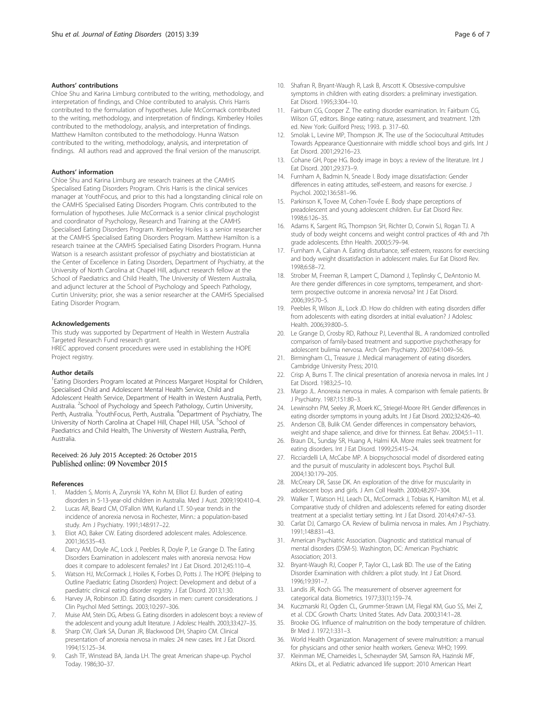#### <span id="page-5-0"></span>Authors' contributions

Chloe Shu and Karina Limburg contributed to the writing, methodology, and interpretation of findings, and Chloe contributed to analysis. Chris Harris contributed to the formulation of hypotheses. Julie McCormack contributed to the writing, methodology, and interpretation of findings. Kimberley Hoiles contributed to the methodology, analysis, and interpretation of findings. Matthew Hamilton contributed to the methodology. Hunna Watson contributed to the writing, methodology, analysis, and interpretation of findings. All authors read and approved the final version of the manuscript.

#### Authors' information

Chloe Shu and Karina Limburg are research trainees at the CAMHS Specialised Eating Disorders Program. Chris Harris is the clinical services manager at YouthFocus, and prior to this had a longstanding clinical role on the CAMHS Specialised Eating Disorders Program. Chris contributed to the formulation of hypotheses. Julie McCormack is a senior clinical psychologist and coordinator of Psychology, Research and Training at the CAMHS Specialised Eating Disorders Program. Kimberley Hoiles is a senior researcher at the CAMHS Specialised Eating Disorders Program. Matthew Hamilton is a research trainee at the CAMHS Specialised Eating Disorders Program. Hunna Watson is a research assistant professor of psychiatry and biostatistician at the Center of Excellence in Eating Disorders, Department of Psychiatry, at the University of North Carolina at Chapel Hill, adjunct research fellow at the School of Paediatrics and Child Health, The University of Western Australia, and adjunct lecturer at the School of Psychology and Speech Pathology, Curtin University; prior, she was a senior researcher at the CAMHS Specialised Eating Disorder Program.

#### Acknowledgements

This study was supported by Department of Health in Western Australia Targeted Research Fund research grant.

HREC approved consent procedures were used in establishing the HOPE Project registry.

#### Author details

<sup>1</sup> Eating Disorders Program located at Princess Margaret Hospital for Children, Specialised Child and Adolescent Mental Health Service, Child and Adolescent Health Service, Department of Health in Western Australia, Perth, Australia. <sup>2</sup>School of Psychology and Speech Pathology, Curtin University, Perth, Australia. <sup>3</sup>YouthFocus, Perth, Australia. <sup>4</sup>Department of Psychiatry, The University of North Carolina at Chapel Hill, Chapel Hill, USA. <sup>5</sup>School of Paediatrics and Child Health, The University of Western Australia, Perth, Australia.

#### Received: 26 July 2015 Accepted: 26 October 2015 Published online: 09 November 2015

#### References

- 1. Madden S, Morris A, Zurynski YA, Kohn M, Elliot EJ. Burden of eating disorders in 5-13-year-old children in Australia. Med J Aust. 2009;190:410–4.
- Lucas AR, Beard CM, O'Fallon WM, Kurland LT. 50-year trends in the incidence of anorexia nervosa in Rochester, Minn.: a population-based study. Am J Psychiatry. 1991;148:917–22.
- 3. Eliot AO, Baker CW. Eating disordered adolescent males. Adolescence. 2001;36:535–43.
- 4. Darcy AM, Doyle AC, Lock J, Peebles R, Doyle P, Le Grange D. The Eating Disorders Examination in adolescent males with anorexia nervosa: How does it compare to adolescent females? Int J Eat Disord. 2012;45:110–4.
- 5. Watson HJ, McCormack J, Hoiles K, Forbes D, Potts J. The HOPE (Helping to Outline Paediatric Eating Disorders) Project: Development and debut of a paediatric clinical eating disorder registry. J Eat Disord. 2013;1:30.
- 6. Harvey JA, Robinson JD. Eating disorders in men: current considerations. J Clin Psychol Med Settings. 2003;10:297–306.
- 7. Muise AM, Stein DG, Arbess G. Eating disorders in adolescent boys: a review of the adolescent and young adult literature. J Adolesc Health. 2003;33:427–35.
- 8. Sharp CW, Clark SA, Dunan JR, Blackwood DH, Shapiro CM. Clinical presentation of anorexia nervosa in males: 24 new cases. Int J Eat Disord. 1994;15:125–34.
- 9. Cash TF, Winstead BA, Janda LH. The great American shape-up. Psychol Today. 1986;30–37.
- 10. Shafran R, Bryant-Waugh R, Lask B, Arscott K. Obsessive-compulsive symptoms in children with eating disorders: a preliminary investigation. Eat Disord. 1995;3:304–10.
- 11. Fairburn CG, Cooper Z. The eating disorder examination. In: Fairburn CG, Wilson GT, editors. Binge eating: nature, assessment, and treatment. 12th ed. New York: Guilford Press; 1993. p. 317–60.
- 12. Smolak L, Levine MP, Thompson JK. The use of the Sociocultural Attitudes Towards Appearance Questionnaire with middle school boys and girls. Int J Eat Disord. 2001;29:216–23.
- 13. Cohane GH, Pope HG. Body image in boys: a review of the literature. Int J Eat Disord. 2001;29:373–9.
- 14. Furnham A, Badmin N, Sneade I. Body image dissatisfaction: Gender differences in eating attitudes, self-esteem, and reasons for exercise. J Psychol. 2002;136:581–96.
- 15. Parkinson K, Tovee M, Cohen-Tovée E. Body shape perceptions of preadolescent and young adolescent children. Eur Eat Disord Rev. 1998;6:126–35.
- 16. Adams K, Sargent RG, Thompson SH, Richter D, Corwin SJ, Rogan TJ. A study of body weight concerns and weight control practices of 4th and 7th grade adolescents. Ethn Health. 2000;5:79–94.
- 17. Furnham A, Calnan A. Eating disturbance, self-esteem, reasons for exercising and body weight dissatisfaction in adolescent males. Eur Eat Disord Rev. 1998;6:58–72.
- 18. Strober M, Freeman R, Lampert C, Diamond J, Teplinsky C, DeAntonio M. Are there gender differences in core symptoms, temperament, and shortterm prospective outcome in anorexia nervosa? Int J Eat Disord. 2006;39:570–5.
- 19. Peebles R, Wilson JL, Lock JD. How do children with eating disorders differ from adolescents with eating disorders at initial evaluation? J Adolesc Health. 2006;39:800–5.
- 20. Le Grange D, Crosby RD, Rathouz PJ, Leventhal BL. A randomized controlled comparison of family-based treatment and supportive psychotherapy for adolescent bulimia nervosa. Arch Gen Psychiatry. 2007;64:1049–56.
- 21. Birmingham CL, Treasure J. Medical management of eating disorders. Cambridge University Press; 2010.
- 22. Crisp A, Burns T. The clinical presentation of anorexia nervosa in males. Int J Eat Disord. 1983;2:5–10.
- 23. Margo JL. Anorexia nervosa in males. A comparison with female patients. Br J Psychiatry. 1987;151:80–3.
- 24. Lewinsohn PM, Seeley JR, Moerk KC, Striegel-Moore RH. Gender differences in eating disorder symptoms in young adults. Int J Eat Disord. 2002;32:426–40.
- 25. Anderson CB, Bulik CM. Gender differences in compensatory behaviors, weight and shape salience, and drive for thinness. Eat Behav. 2004;5:1–11.
- 26. Braun DL, Sunday SR, Huang A, Halmi KA. More males seek treatment for eating disorders. Int J Eat Disord. 1999;25:415–24.
- 27. Ricciardelli LA, McCabe MP. A biopsychosocial model of disordered eating and the pursuit of muscularity in adolescent boys. Psychol Bull. 2004;130:179–205.
- 28. McCreary DR, Sasse DK. An exploration of the drive for muscularity in adolescent boys and girls. J Am Coll Health. 2000;48:297–304.
- 29. Walker T, Watson HJ, Leach DL, McCormack J, Tobias K, Hamilton MJ, et al. Comparative study of children and adolescents referred for eating disorder treatment at a specialist tertiary setting. Int J Eat Disord. 2014;47:47–53.
- 30. Carlat DJ, Camargo CA. Review of bulimia nervosa in males. Am J Psychiatry. 1991;148:831–43.
- 31. American Psychiatric Association. Diagnostic and statistical manual of mental disorders (DSM-5). Washington, DC: American Psychiatric Association; 2013.
- 32. Bryant-Waugh RJ, Cooper P, Taylor CL, Lask BD. The use of the Eating Disorder Examination with children: a pilot study. Int J Eat Disord. 1996;19:391–7.
- 33. Landis JR, Koch GG. The measurement of observer agreement for categorical data. Biometrics. 1977;33(1):159–74.
- 34. Kuczmarski RJ, Ogden CL, Grummer-Strawn LM, Flegal KM, Guo SS, Mei Z, et al. CDC Growth Charts: United States. Adv Data. 2000;314:1–28.
- 35. Brooke OG. Influence of malnutrition on the body temperature of children. Br Med J. 1972;1:331–3.
- 36. World Health Organization. Management of severe malnutrition: a manual for physicians and other senior health workers. Geneva: WHO; 1999.
- 37. Kleinman ME, Chameides L, Schexnayder SM, Samson RA, Hazinski MF, Atkins DL, et al. Pediatric advanced life support: 2010 American Heart